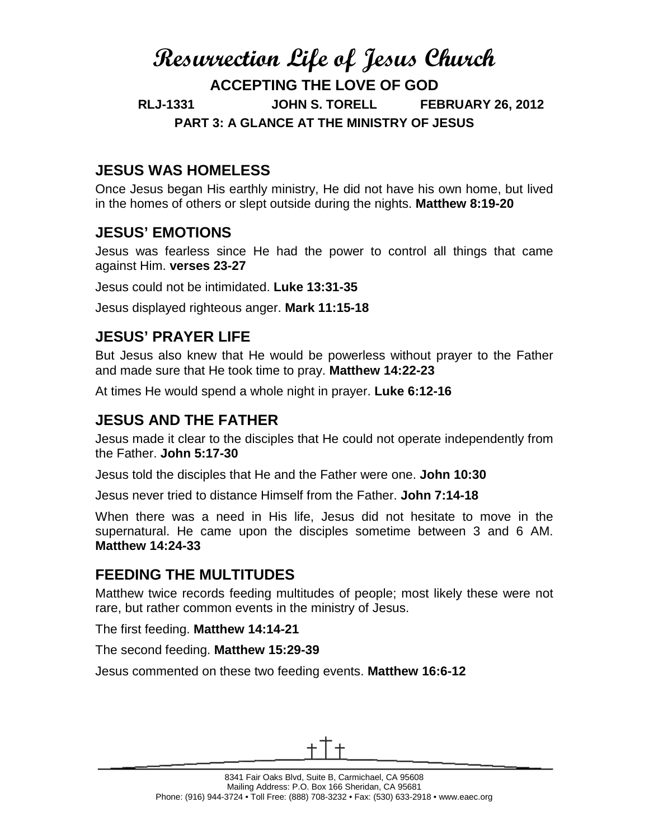# **Resurrection Life of Jesus Church ACCEPTING THE LOVE OF GOD RLJ-1331 JOHN S. TORELL FEBRUARY 26, 2012 PART 3: A GLANCE AT THE MINISTRY OF JESUS**

## **JESUS WAS HOMELESS**

Once Jesus began His earthly ministry, He did not have his own home, but lived in the homes of others or slept outside during the nights. **Matthew 8:19-20**

## **JESUS' EMOTIONS**

Jesus was fearless since He had the power to control all things that came against Him. **verses 23-27**

Jesus could not be intimidated. **Luke 13:31-35**

Jesus displayed righteous anger. **Mark 11:15-18**

## **JESUS' PRAYER LIFE**

But Jesus also knew that He would be powerless without prayer to the Father and made sure that He took time to pray. **Matthew 14:22-23**

At times He would spend a whole night in prayer. **Luke 6:12-16**

### **JESUS AND THE FATHER**

Jesus made it clear to the disciples that He could not operate independently from the Father. **John 5:17-30**

Jesus told the disciples that He and the Father were one. **John 10:30**

Jesus never tried to distance Himself from the Father. **John 7:14-18**

When there was a need in His life, Jesus did not hesitate to move in the supernatural. He came upon the disciples sometime between 3 and 6 AM. **Matthew 14:24-33**

#### **FEEDING THE MULTITUDES**

Matthew twice records feeding multitudes of people; most likely these were not rare, but rather common events in the ministry of Jesus.

The first feeding. **Matthew 14:14-21**

The second feeding. **Matthew 15:29-39**

Jesus commented on these two feeding events. **Matthew 16:6-12**